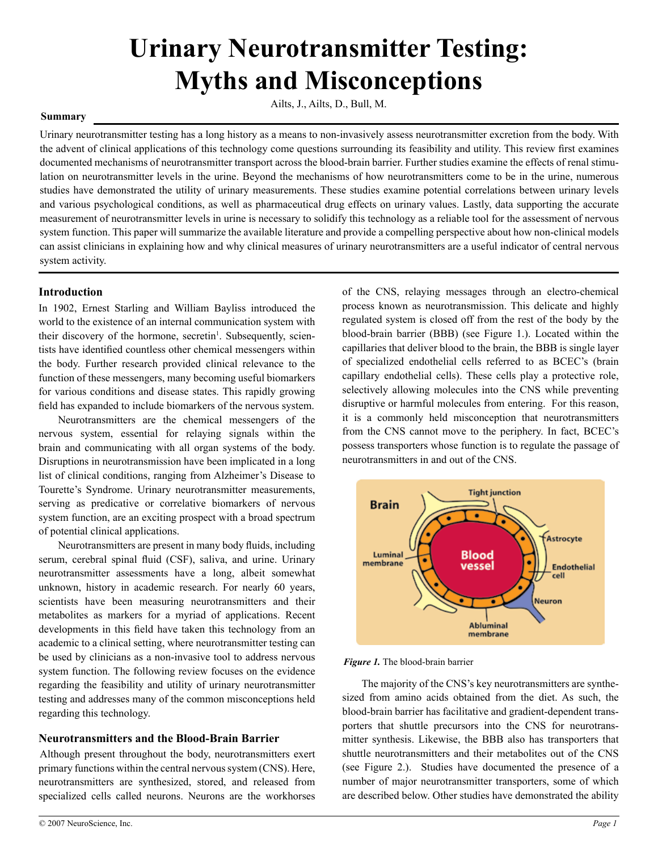# **Urinary Neurotransmitter Testing: Myths and Misconceptions**

# Ailts, J., Ailts, D., Bull, M.

### **Summary**

Urinary neurotransmitter testing has a long history as a means to non-invasively assess neurotransmitter excretion from the body. With the advent of clinical applications of this technology come questions surrounding its feasibility and utility. This review first examines documented mechanisms of neurotransmitter transport across the blood-brain barrier. Further studies examine the effects of renal stimulation on neurotransmitter levels in the urine. Beyond the mechanisms of how neurotransmitters come to be in the urine, numerous studies have demonstrated the utility of urinary measurements. These studies examine potential correlations between urinary levels and various psychological conditions, as well as pharmaceutical drug effects on urinary values. Lastly, data supporting the accurate measurement of neurotransmitter levels in urine is necessary to solidify this technology as a reliable tool for the assessment of nervous system function. This paper will summarize the available literature and provide a compelling perspective about how non-clinical models can assist clinicians in explaining how and why clinical measures of urinary neurotransmitters are a useful indicator of central nervous system activity.

# **Introduction**

In 1902, Ernest Starling and William Bayliss introduced the world to the existence of an internal communication system with their discovery of the hormone, secretin<sup>1</sup>. Subsequently, scientists have identified countless other chemical messengers within the body. Further research provided clinical relevance to the function of these messengers, many becoming useful biomarkers for various conditions and disease states. This rapidly growing field has expanded to include biomarkers of the nervous system.

Neurotransmitters are the chemical messengers of the nervous system, essential for relaying signals within the brain and communicating with all organ systems of the body. Disruptions in neurotransmission have been implicated in a long list of clinical conditions, ranging from Alzheimer's Disease to Tourette's Syndrome. Urinary neurotransmitter measurements, serving as predicative or correlative biomarkers of nervous system function, are an exciting prospect with a broad spectrum of potential clinical applications.

Neurotransmitters are present in many body fluids, including serum, cerebral spinal fluid (CSF), saliva, and urine. Urinary neurotransmitter assessments have a long, albeit somewhat unknown, history in academic research. For nearly 60 years, scientists have been measuring neurotransmitters and their metabolites as markers for a myriad of applications. Recent developments in this field have taken this technology from an academic to a clinical setting, where neurotransmitter testing can be used by clinicians as a non-invasive tool to address nervous system function. The following review focuses on the evidence regarding the feasibility and utility of urinary neurotransmitter testing and addresses many of the common misconceptions held regarding this technology.

# **Neurotransmitters and the Blood-Brain Barrier**

Although present throughout the body, neurotransmitters exert primary functions within the central nervous system (CNS). Here, neurotransmitters are synthesized, stored, and released from specialized cells called neurons. Neurons are the workhorses of the CNS, relaying messages through an electro-chemical process known as neurotransmission. This delicate and highly regulated system is closed off from the rest of the body by the blood-brain barrier (BBB) (see Figure 1.). Located within the capillaries that deliver blood to the brain, the BBB is single layer of specialized endothelial cells referred to as BCEC's (brain capillary endothelial cells). These cells play a protective role, selectively allowing molecules into the CNS while preventing disruptive or harmful molecules from entering. For this reason, it is a commonly held misconception that neurotransmitters from the CNS cannot move to the periphery. In fact, BCEC's possess transporters whose function is to regulate the passage of neurotransmitters in and out of the CNS.



*Figure 1.* The blood-brain barrier

The majority of the CNS's key neurotransmitters are synthesized from amino acids obtained from the diet. As such, the blood-brain barrier has facilitative and gradient-dependent transporters that shuttle precursors into the CNS for neurotransmitter synthesis. Likewise, the BBB also has transporters that shuttle neurotransmitters and their metabolites out of the CNS (see Figure 2.). Studies have documented the presence of a number of major neurotransmitter transporters, some of which are described below. Other studies have demonstrated the ability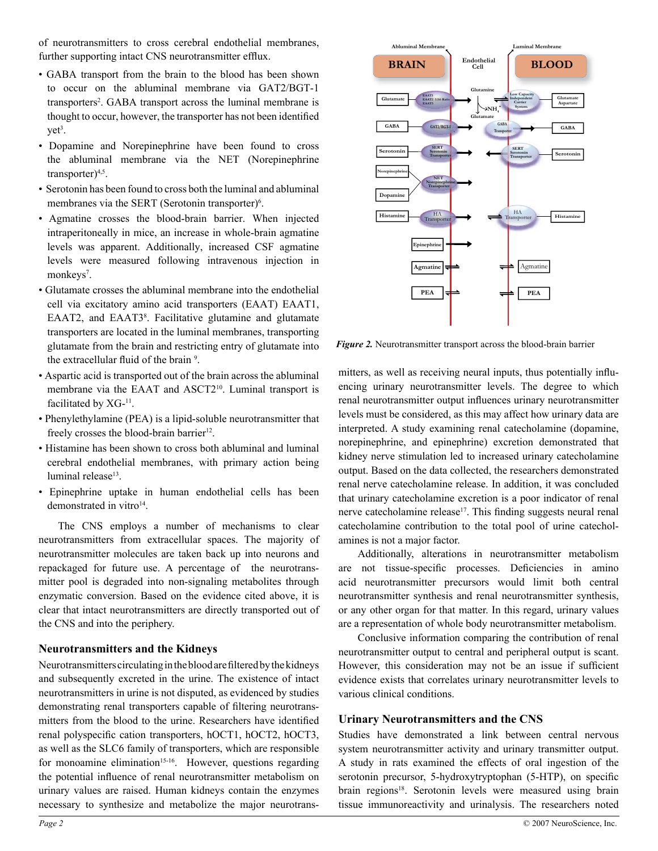of neurotransmitters to cross cerebral endothelial membranes, further supporting intact CNS neurotransmitter efflux.

- GABA transport from the brain to the blood has been shown to occur on the abluminal membrane via GAT2/BGT-1 transporters<sup>2</sup>. GABA transport across the luminal membrane is thought to occur, however, the transporter has not been identified yet<sup>3</sup>.
- Dopamine and Norepinephrine have been found to cross the abluminal membrane via the NET (Norepinephrine transporter $)^{4,5}$ .
- Serotonin has been found to cross both the luminal and abluminal membranes via the SERT (Serotonin transporter)<sup>6</sup>.
- Agmatine crosses the blood-brain barrier. When injected intraperitoneally in mice, an increase in whole-brain agmatine levels was apparent. Additionally, increased CSF agmatine levels were measured following intravenous injection in monkeys<sup>7</sup>.
- Glutamate crosses the abluminal membrane into the endothelial cell via excitatory amino acid transporters (EAAT) EAAT1, EAAT2, and EAAT3<sup>8</sup>. Facilitative glutamine and glutamate transporters are located in the luminal membranes, transporting glutamate from the brain and restricting entry of glutamate into the extracellular fluid of the brain<sup>9</sup>.
- Aspartic acid is transported out of the brain across the abluminal membrane via the EAAT and ASCT2<sup>10</sup>. Luminal transport is facilitated by XG-<sup>11</sup>.
- Phenylethylamine (PEA) is a lipid-soluble neurotransmitter that freely crosses the blood-brain barrier<sup>12</sup>.
- Histamine has been shown to cross both abluminal and luminal cerebral endothelial membranes, with primary action being luminal release<sup>13</sup>.
- Epinephrine uptake in human endothelial cells has been demonstrated in vitro $14$ .

The CNS employs a number of mechanisms to clear neurotransmitters from extracellular spaces. The majority of neurotransmitter molecules are taken back up into neurons and repackaged for future use. A percentage of the neurotransmitter pool is degraded into non-signaling metabolites through enzymatic conversion. Based on the evidence cited above, it is clear that intact neurotransmitters are directly transported out of the CNS and into the periphery.

# **Neurotransmitters and the Kidneys**

Neurotransmitters circulating in the blood are filtered by the kidneys and subsequently excreted in the urine. The existence of intact neurotransmitters in urine is not disputed, as evidenced by studies demonstrating renal transporters capable of filtering neurotransmitters from the blood to the urine. Researchers have identified renal polyspecific cation transporters, hOCT1, hOCT2, hOCT3, as well as the SLC6 family of transporters, which are responsible for monoamine elimination<sup>15-16</sup>. However, questions regarding the potential influence of renal neurotransmitter metabolism on urinary values are raised. Human kidneys contain the enzymes necessary to synthesize and metabolize the major neurotrans-



*Figure 2.* Neurotransmitter transport across the blood-brain barrier

mitters, as well as receiving neural inputs, thus potentially influencing urinary neurotransmitter levels. The degree to which renal neurotransmitter output influences urinary neurotransmitter levels must be considered, as this may affect how urinary data are interpreted. A study examining renal catecholamine (dopamine, norepinephrine, and epinephrine) excretion demonstrated that kidney nerve stimulation led to increased urinary catecholamine output. Based on the data collected, the researchers demonstrated renal nerve catecholamine release. In addition, it was concluded that urinary catecholamine excretion is a poor indicator of renal nerve catecholamine release<sup>17</sup>. This finding suggests neural renal catecholamine contribution to the total pool of urine catecholamines is not a major factor.

Additionally, alterations in neurotransmitter metabolism are not tissue-specific processes. Deficiencies in amino acid neurotransmitter precursors would limit both central neurotransmitter synthesis and renal neurotransmitter synthesis, or any other organ for that matter. In this regard, urinary values are a representation of whole body neurotransmitter metabolism.

Conclusive information comparing the contribution of renal neurotransmitter output to central and peripheral output is scant. However, this consideration may not be an issue if sufficient evidence exists that correlates urinary neurotransmitter levels to various clinical conditions.

# **Urinary Neurotransmitters and the CNS**

Studies have demonstrated a link between central nervous system neurotransmitter activity and urinary transmitter output. A study in rats examined the effects of oral ingestion of the serotonin precursor, 5-hydroxytryptophan (5-HTP), on specific brain regions<sup>18</sup>. Serotonin levels were measured using brain tissue immunoreactivity and urinalysis. The researchers noted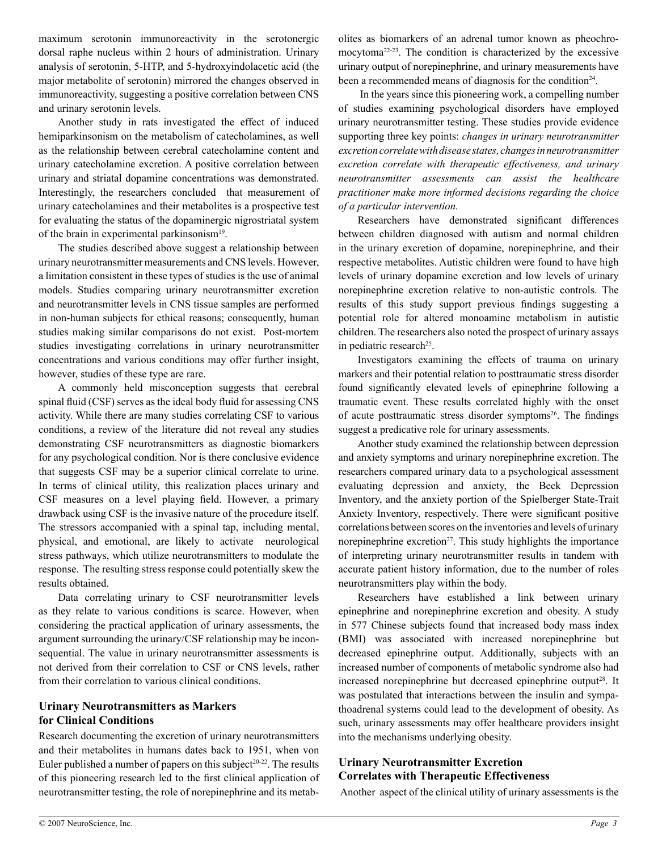maximum serotonin immunoreactivity in the serotonergic dorsal raphe nucleus within 2 hours of administration. Urinary analysis of serotonin, 5-HTP, and 5-hydroxyindolacetic acid (the major metabolite of serotonin) mirrored the changes observed in immunoreactivity, suggesting a positive correlation between CNS and urinary serotonin levels.

Another study in rats investigated the effect of induced hemiparkinsonism on the metabolism of catecholamines, as well as the relationship between cerebral catecholamine content and urinary catecholamine excretion. A positive correlation between urinary and striatal dopamine concentrations was demonstrated. Interestingly, the researchers concluded that measurement of urinary catecholamines and their metabolites is a prospective test for evaluating the status of the dopaminergic nigrostriatal system of the brain in experimental parkinsonism<sup>19</sup>.

The studies described above suggest a relationship between urinary neurotransmitter measurements and CNS levels. However, a limitation consistent in these types of studies is the use of animal models. Studies comparing urinary neurotransmitter excretion and neurotransmitter levels in CNS tissue samples are performed in non-human subjects for ethical reasons; consequently, human studies making similar comparisons do not exist. Post-mortem studies investigating correlations in urinary neurotransmitter concentrations and various conditions may offer further insight, however, studies of these type are rare.

A commonly held misconception suggests that cerebral spinal fluid (CSF) serves as the ideal body fluid for assessing CNS activity. While there are many studies correlating CSF to various conditions, a review of the literature did not reveal any studies demonstrating CSF neurotransmitters as diagnostic biomarkers for any psychological condition. Nor is there conclusive evidence that suggests CSF may be a superior clinical correlate to urine. In terms of clinical utility, this realization places urinary and CSF measures on a level playing field. However, a primary drawback using CSF is the invasive nature of the procedure itself. The stressors accompanied with a spinal tap, including mental, physical, and emotional, are likely to activate neurological stress pathways, which utilize neurotransmitters to modulate the response. The resulting stress response could potentially skew the results obtained.

Data correlating urinary to CSF neurotransmitter levels as they relate to various conditions is scarce. However, when considering the practical application of urinary assessments, the argument surrounding the urinary/CSF relationship may be inconsequential. The value in urinary neurotransmitter assessments is not derived from their correlation to CSF or CNS levels, rather from their correlation to various clinical conditions.

# **Urinary Neurotransmitters as Markers for Clinical Conditions**

Research documenting the excretion of urinary neurotransmitters and their metabolites in humans dates back to 1951, when von Euler published a number of papers on this subject<sup>20-22</sup>. The results of this pioneering research led to the first clinical application of neurotransmitter testing, the role of norepinephrine and its metabolites as biomarkers of an adrenal tumor known as pheochromocytoma22-23. The condition is characterized by the excessive urinary output of norepinephrine, and urinary measurements have been a recommended means of diagnosis for the condition<sup>24</sup>.

 In the years since this pioneering work, a compelling number of studies examining psychological disorders have employed urinary neurotransmitter testing. These studies provide evidence supporting three key points: *changes in urinary neurotransmitter excretioncorrelatewithdisease states, changesinneurotransmitter excretion correlate with therapeutic effectiveness, and urinary neurotransmitter assessments can assist the healthcare practitioner make more informed decisions regarding the choice of a particular intervention.*

Researchers have demonstrated significant differences between children diagnosed with autism and normal children in the urinary excretion of dopamine, norepinephrine, and their respective metabolites. Autistic children were found to have high levels of urinary dopamine excretion and low levels of urinary norepinephrine excretion relative to non-autistic controls. The results of this study support previous findings suggesting a potential role for altered monoamine metabolism in autistic children. The researchers also noted the prospect of urinary assays in pediatric research<sup>25</sup>.

Investigators examining the effects of trauma on urinary markers and their potential relation to posttraumatic stress disorder found significantly elevated levels of epinephrine following a traumatic event. These results correlated highly with the onset of acute posttraumatic stress disorder symptoms<sup>26</sup>. The findings suggest a predicative role for urinary assessments.

Another study examined the relationship between depression and anxiety symptoms and urinary norepinephrine excretion. The researchers compared urinary data to a psychological assessment evaluating depression and anxiety, the Beck Depression Inventory, and the anxiety portion of the Spielberger State-Trait Anxiety Inventory, respectively. There were significant positive correlations between scores on the inventories and levels of urinary norepinephrine excretion<sup>27</sup>. This study highlights the importance of interpreting urinary neurotransmitter results in tandem with accurate patient history information, due to the number of roles neurotransmitters play within the body.

Researchers have established a link between urinary epinephrine and norepinephrine excretion and obesity. A study in 577 Chinese subjects found that increased body mass index (BMI) was associated with increased norepinephrine but decreased epinephrine output. Additionally, subjects with an increased number of components of metabolic syndrome also had increased norepinephrine but decreased epinephrine output<sup>28</sup>. It was postulated that interactions between the insulin and sympathoadrenal systems could lead to the development of obesity. As such, urinary assessments may offer healthcare providers insight into the mechanisms underlying obesity.

# **Urinary Neurotransmitter Excretion Correlates with Therapeutic Effectiveness**

Another aspect of the clinical utility of urinary assessments is the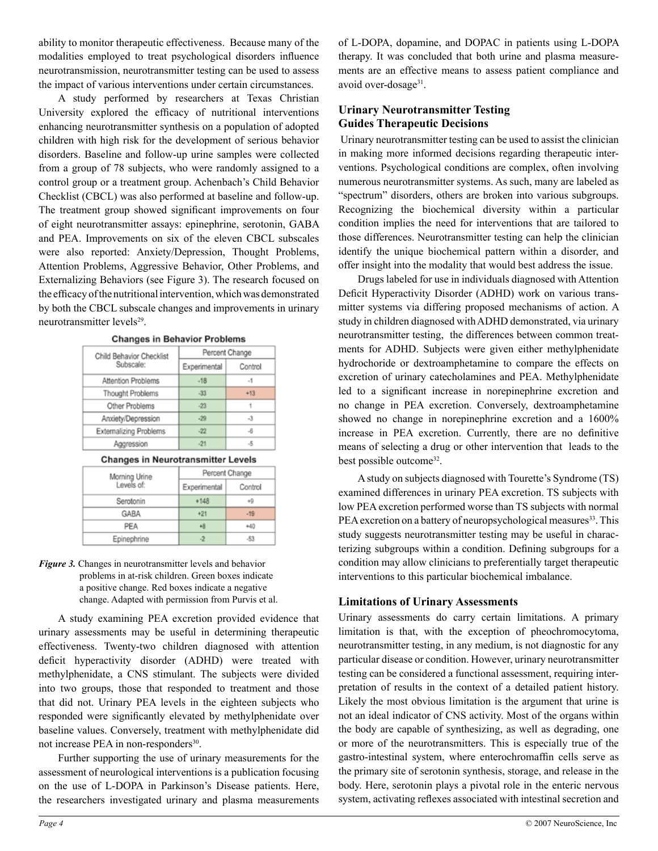ability to monitor therapeutic effectiveness. Because many of the modalities employed to treat psychological disorders influence neurotransmission, neurotransmitter testing can be used to assess the impact of various interventions under certain circumstances.

A study performed by researchers at Texas Christian University explored the efficacy of nutritional interventions enhancing neurotransmitter synthesis on a population of adopted children with high risk for the development of serious behavior disorders. Baseline and follow-up urine samples were collected from a group of 78 subjects, who were randomly assigned to a control group or a treatment group. Achenbach's Child Behavior Checklist (CBCL) was also performed at baseline and follow-up. The treatment group showed significant improvements on four of eight neurotransmitter assays: epinephrine, serotonin, GABA and PEA. Improvements on six of the eleven CBCL subscales were also reported: Anxiety/Depression, Thought Problems, Attention Problems, Aggressive Behavior, Other Problems, and Externalizing Behaviors (see Figure 3). The research focused on the efficacy of the nutritional intervention, which was demonstrated by both the CBCL subscale changes and improvements in urinary neurotransmitter levels<sup>29</sup>.

| Child Behavior Checklist      | Percent Change |         |  |
|-------------------------------|----------------|---------|--|
| Subscale:                     | Experimental   | Control |  |
| Attention Problems            | $-18$          | $-1$    |  |
| Thought Problems              | $-33$          | $+13$   |  |
| Other Problems                | $-23$          | 1       |  |
| Anxiety/Depression            | $-29$          | $-3$    |  |
| <b>Externalizing Problems</b> | $-22$          | $-6$    |  |
| Aggression                    | $-21$          | $-5$    |  |

| <b>Changes in Behavior Problems</b> |  |  |  |  |
|-------------------------------------|--|--|--|--|
|-------------------------------------|--|--|--|--|

#### **Changes in Neurotransmitter Levels**

| Morning Urine<br>Levels of: | Percent Change |         |  |
|-----------------------------|----------------|---------|--|
|                             | Experimental   | Control |  |
| Serotonin                   | $+148$         | +9      |  |
| GABA                        | $+21$          | $-19$   |  |
| PEA                         | $+8$           | +40     |  |
| Epinephrine                 |                | $-53-$  |  |

#### *Figure 3.* Changes in neurotransmitter levels and behavior problems in at-risk children. Green boxes indicate a positive change. Red boxes indicate a negative change. Adapted with permission from Purvis et al.

A study examining PEA excretion provided evidence that urinary assessments may be useful in determining therapeutic effectiveness. Twenty-two children diagnosed with attention deficit hyperactivity disorder (ADHD) were treated with methylphenidate, a CNS stimulant. The subjects were divided into two groups, those that responded to treatment and those that did not. Urinary PEA levels in the eighteen subjects who responded were significantly elevated by methylphenidate over baseline values. Conversely, treatment with methylphenidate did not increase PEA in non-responders<sup>30</sup>.

Further supporting the use of urinary measurements for the assessment of neurological interventions is a publication focusing on the use of L-DOPA in Parkinson's Disease patients. Here, the researchers investigated urinary and plasma measurements of L-DOPA, dopamine, and DOPAC in patients using L-DOPA therapy. It was concluded that both urine and plasma measurements are an effective means to assess patient compliance and avoid over-dosage<sup>31</sup>.

# **Urinary Neurotransmitter Testing Guides Therapeutic Decisions**

 Urinary neurotransmitter testing can be used to assist the clinician in making more informed decisions regarding therapeutic interventions. Psychological conditions are complex, often involving numerous neurotransmitter systems. As such, many are labeled as "spectrum" disorders, others are broken into various subgroups. Recognizing the biochemical diversity within a particular condition implies the need for interventions that are tailored to those differences. Neurotransmitter testing can help the clinician identify the unique biochemical pattern within a disorder, and offer insight into the modality that would best address the issue.

Drugs labeled for use in individuals diagnosed with Attention Deficit Hyperactivity Disorder (ADHD) work on various transmitter systems via differing proposed mechanisms of action. A study in children diagnosed with ADHD demonstrated, via urinary neurotransmitter testing, the differences between common treatments for ADHD. Subjects were given either methylphenidate hydrochoride or dextroamphetamine to compare the effects on excretion of urinary catecholamines and PEA. Methylphenidate led to a significant increase in norepinephrine excretion and no change in PEA excretion. Conversely, dextroamphetamine showed no change in norepinephrine excretion and a 1600% increase in PEA excretion. Currently, there are no definitive means of selecting a drug or other intervention that leads to the best possible outcome<sup>32</sup>.

A study on subjects diagnosed with Tourette's Syndrome (TS) examined differences in urinary PEA excretion. TS subjects with low PEA excretion performed worse than TS subjects with normal PEA excretion on a battery of neuropsychological measures<sup>33</sup>. This study suggests neurotransmitter testing may be useful in characterizing subgroups within a condition. Defining subgroups for a condition may allow clinicians to preferentially target therapeutic interventions to this particular biochemical imbalance.

# **Limitations of Urinary Assessments**

Urinary assessments do carry certain limitations. A primary limitation is that, with the exception of pheochromocytoma, neurotransmitter testing, in any medium, is not diagnostic for any particular disease or condition. However, urinary neurotransmitter testing can be considered a functional assessment, requiring interpretation of results in the context of a detailed patient history. Likely the most obvious limitation is the argument that urine is not an ideal indicator of CNS activity. Most of the organs within the body are capable of synthesizing, as well as degrading, one or more of the neurotransmitters. This is especially true of the gastro-intestinal system, where enterochromaffin cells serve as the primary site of serotonin synthesis, storage, and release in the body. Here, serotonin plays a pivotal role in the enteric nervous system, activating reflexes associated with intestinal secretion and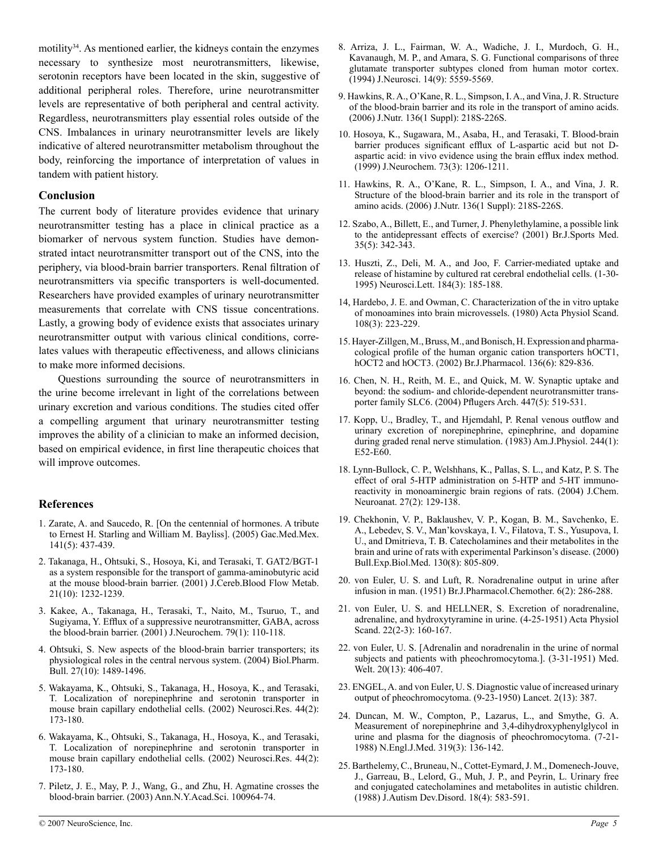motility<sup>34</sup>. As mentioned earlier, the kidneys contain the enzymes necessary to synthesize most neurotransmitters, likewise, serotonin receptors have been located in the skin, suggestive of additional peripheral roles. Therefore, urine neurotransmitter levels are representative of both peripheral and central activity. Regardless, neurotransmitters play essential roles outside of the CNS. Imbalances in urinary neurotransmitter levels are likely indicative of altered neurotransmitter metabolism throughout the body, reinforcing the importance of interpretation of values in tandem with patient history.

### **Conclusion**

The current body of literature provides evidence that urinary neurotransmitter testing has a place in clinical practice as a biomarker of nervous system function. Studies have demonstrated intact neurotransmitter transport out of the CNS, into the periphery, via blood-brain barrier transporters. Renal filtration of neurotransmitters via specific transporters is well-documented. Researchers have provided examples of urinary neurotransmitter measurements that correlate with CNS tissue concentrations. Lastly, a growing body of evidence exists that associates urinary neurotransmitter output with various clinical conditions, correlates values with therapeutic effectiveness, and allows clinicians to make more informed decisions.

Questions surrounding the source of neurotransmitters in the urine become irrelevant in light of the correlations between urinary excretion and various conditions. The studies cited offer a compelling argument that urinary neurotransmitter testing improves the ability of a clinician to make an informed decision, based on empirical evidence, in first line therapeutic choices that will improve outcomes.

# **References**

- 1. Zarate, A. and Saucedo, R. [On the centennial of hormones. A tribute to Ernest H. Starling and William M. Bayliss]. (2005) Gac.Med.Mex. 141(5): 437-439.
- 2. Takanaga, H., Ohtsuki, S., Hosoya, Ki, and Terasaki, T. GAT2/BGT-1 as a system responsible for the transport of gamma-aminobutyric acid at the mouse blood-brain barrier. (2001) J.Cereb.Blood Flow Metab. 21(10): 1232-1239.
- 3. Kakee, A., Takanaga, H., Terasaki, T., Naito, M., Tsuruo, T., and Sugiyama, Y. Efflux of a suppressive neurotransmitter, GABA, across the blood-brain barrier. (2001) J.Neurochem. 79(1): 110-118.
- 4. Ohtsuki, S. New aspects of the blood-brain barrier transporters; its physiological roles in the central nervous system. (2004) Biol.Pharm. Bull. 27(10): 1489-1496.
- 5. Wakayama, K., Ohtsuki, S., Takanaga, H., Hosoya, K., and Terasaki, T. Localization of norepinephrine and serotonin transporter in mouse brain capillary endothelial cells. (2002) Neurosci.Res. 44(2): 173-180.
- 6. Wakayama, K., Ohtsuki, S., Takanaga, H., Hosoya, K., and Terasaki, T. Localization of norepinephrine and serotonin transporter in mouse brain capillary endothelial cells. (2002) Neurosci.Res. 44(2): 173-180.
- 7. Piletz, J. E., May, P. J., Wang, G., and Zhu, H. Agmatine crosses the blood-brain barrier. (2003) Ann.N.Y.Acad.Sci. 100964-74.
- 8. Arriza, J. L., Fairman, W. A., Wadiche, J. I., Murdoch, G. H., Kavanaugh, M. P., and Amara, S. G. Functional comparisons of three glutamate transporter subtypes cloned from human motor cortex. (1994) J.Neurosci. 14(9): 5559-5569.
- 9. Hawkins, R. A., O'Kane, R. L., Simpson, I. A., and Vina, J. R. Structure of the blood-brain barrier and its role in the transport of amino acids. (2006) J.Nutr. 136(1 Suppl): 218S-226S.
- 10. Hosoya, K., Sugawara, M., Asaba, H., and Terasaki, T. Blood-brain barrier produces significant efflux of L-aspartic acid but not Daspartic acid: in vivo evidence using the brain efflux index method. (1999) J.Neurochem. 73(3): 1206-1211.
- 11. Hawkins, R. A., O'Kane, R. L., Simpson, I. A., and Vina, J. R. Structure of the blood-brain barrier and its role in the transport of amino acids. (2006) J.Nutr. 136(1 Suppl): 218S-226S.
- 12. Szabo, A., Billett, E., and Turner, J. Phenylethylamine, a possible link to the antidepressant effects of exercise? (2001) Br.J.Sports Med. 35(5): 342-343.
- 13. Huszti, Z., Deli, M. A., and Joo, F. Carrier-mediated uptake and release of histamine by cultured rat cerebral endothelial cells. (1-30- 1995) Neurosci.Lett. 184(3): 185-188.
- 14, Hardebo, J. E. and Owman, C. Characterization of the in vitro uptake of monoamines into brain microvessels. (1980) Acta Physiol Scand. 108(3): 223-229.
- 15. Hayer-Zillgen, M., Bruss, M., and Bonisch, H. Expression and pharmacological profile of the human organic cation transporters hOCT1, hOCT2 and hOCT3. (2002) Br.J.Pharmacol. 136(6): 829-836.
- 16. Chen, N. H., Reith, M. E., and Quick, M. W. Synaptic uptake and beyond: the sodium- and chloride-dependent neurotransmitter transporter family SLC6. (2004) Pflugers Arch. 447(5): 519-531.
- 17. Kopp, U., Bradley, T., and Hjemdahl, P. Renal venous outflow and urinary excretion of norepinephrine, epinephrine, and dopamine during graded renal nerve stimulation. (1983) Am.J.Physiol. 244(1): E52-E60.
- 18. Lynn-Bullock, C. P., Welshhans, K., Pallas, S. L., and Katz, P. S. The effect of oral 5-HTP administration on 5-HTP and 5-HT immunoreactivity in monoaminergic brain regions of rats. (2004) J.Chem. Neuroanat. 27(2): 129-138.
- 19. Chekhonin, V. P., Baklaushev, V. P., Kogan, B. M., Savchenko, E. A., Lebedev, S. V., Man'kovskaya, I. V., Filatova, T. S., Yusupova, I. U., and Dmitrieva, T. B. Catecholamines and their metabolites in the brain and urine of rats with experimental Parkinson's disease. (2000) Bull.Exp.Biol.Med. 130(8): 805-809.
- 20. von Euler, U. S. and Luft, R. Noradrenaline output in urine after infusion in man. (1951) Br.J.Pharmacol.Chemother. 6(2): 286-288.
- 21. von Euler, U. S. and HELLNER, S. Excretion of noradrenaline, adrenaline, and hydroxytyramine in urine. (4-25-1951) Acta Physiol Scand. 22(2-3): 160-167.
- 22. von Euler, U. S. [Adrenalin and noradrenalin in the urine of normal subjects and patients with pheochromocytoma.]. (3-31-1951) Med. Welt. 20(13): 406-407.
- 23. ENGEL, A. and von Euler, U. S. Diagnostic value of increased urinary output of pheochromocytoma. (9-23-1950) Lancet. 2(13): 387.
- 24. Duncan, M. W., Compton, P., Lazarus, L., and Smythe, G. A. Measurement of norepinephrine and 3,4-dihydroxyphenylglycol in urine and plasma for the diagnosis of pheochromocytoma. (7-21- 1988) N.Engl.J.Med. 319(3): 136-142.
- 25. Barthelemy, C., Bruneau, N., Cottet-Eymard, J. M., Domenech-Jouve, J., Garreau, B., Lelord, G., Muh, J. P., and Peyrin, L. Urinary free and conjugated catecholamines and metabolites in autistic children. (1988) J.Autism Dev.Disord. 18(4): 583-591.